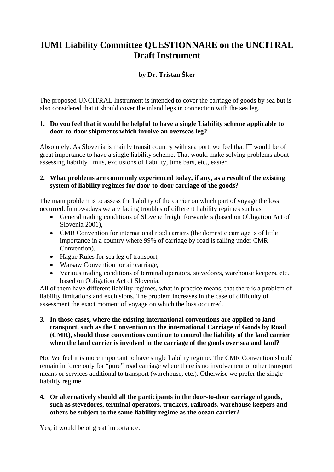# **IUMI Liability Committee QUESTIONNARE on the UNCITRAL Draft Instrument**

## **by Dr. Tristan Šker**

The proposed UNCITRAL Instrument is intended to cover the carriage of goods by sea but is also considered that it should cover the inland legs in connection with the sea leg.

### **1. Do you feel that it would be helpful to have a single Liability scheme applicable to door-to-door shipments which involve an overseas leg?**

Absolutely. As Slovenia is mainly transit country with sea port, we feel that IT would be of great importance to have a single liability scheme. That would make solving problems about assessing liability limits, exclusions of liability, time bars, etc., easier.

### **2. What problems are commonly experienced today, if any, as a result of the existing system of liability regimes for door-to-door carriage of the goods?**

The main problem is to assess the liability of the carrier on which part of voyage the loss occurred. In nowadays we are facing troubles of different liability regimes such as

- General trading conditions of Slovene freight forwarders (based on Obligation Act of Slovenia 2001),
- CMR Convention for international road carriers (the domestic carriage is of little importance in a country where 99% of carriage by road is falling under CMR Convention),
- Hague Rules for sea leg of transport,
- Warsaw Convention for air carriage.
- Various trading conditions of terminal operators, stevedores, warehouse keepers, etc. based on Obligation Act of Slovenia.

All of them have different liability regimes, what in practice means, that there is a problem of liability limitations and exclusions. The problem increases in the case of difficulty of assessment the exact moment of voyage on which the loss occurred.

**3. In those cases, where the existing international conventions are applied to land transport, such as the Convention on the international Carriage of Goods by Road (CMR), should those conventions continue to control the liability of the land carrier when the land carrier is involved in the carriage of the goods over sea and land?** 

No. We feel it is more important to have single liability regime. The CMR Convention should remain in force only for "pure" road carriage where there is no involvement of other transport means or services additional to transport (warehouse, etc.). Otherwise we prefer the single liability regime.

#### **4. Or alternatively should all the participants in the door-to-door carriage of goods, such as stevedores, terminal operators, truckers, railroads, warehouse keepers and others be subject to the same liability regime as the ocean carrier?**

Yes, it would be of great importance.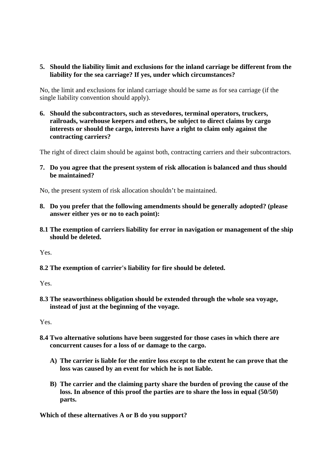#### **5. Should the liability limit and exclusions for the inland carriage be different from the liability for the sea carriage? If yes, under which circumstances?**

No, the limit and exclusions for inland carriage should be same as for sea carriage (if the single liability convention should apply).

**6. Should the subcontractors, such as stevedores, terminal operators, truckers, railroads, warehouse keepers and others, be subject to direct claims by cargo interests or should the cargo, interests have a right to claim only against the contracting carriers?** 

The right of direct claim should be against both, contracting carriers and their subcontractors.

**7. Do you agree that the present system of risk allocation is balanced and thus should be maintained?** 

No, the present system of risk allocation shouldn't be maintained.

- **8. Do you prefer that the following amendments should be generally adopted? (please answer either yes or no to each point):**
- **8.1 The exemption of carriers liability for error in navigation or management of the ship should be deleted.**

Yes.

**8.2 The exemption of carrier's liability for fire should be deleted.** 

Yes.

**8.3 The seaworthiness obligation should be extended through the whole sea voyage, instead of just at the beginning of the voyage.** 

Yes.

- **8.4 Two alternative solutions have been suggested for those cases in which there are concurrent causes for a loss of or damage to the cargo.** 
	- **A) The carrier is liable for the entire loss except to the extent he can prove that the loss was caused by an event for which he is not liable.**
	- **B) The carrier and the claiming party share the burden of proving the cause of the loss. In absence of this proof the parties are to share the loss in equal (50/50) parts.**

**Which of these alternatives A or B do you support?**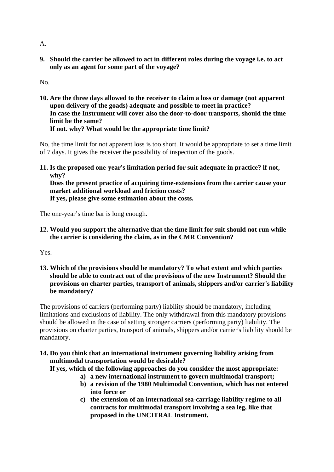**9. Should the carrier be allowed to act in different roles during the voyage i.e. to act only as an agent for some part of the voyage?** 

No.

**10. Are the three days allowed to the receiver to claim a loss or damage (not apparent upon delivery of the goads) adequate and possible to meet in practice? In case the Instrument will cover also the door-to-door transports, should the time limit be the same? If not. why? What would be the appropriate time limit?** 

No, the time limit for not apparent loss is too short. It would be appropriate to set a time limit of 7 days. It gives the receiver the possibility of inspection of the goods.

**11. Is the proposed one-year's limitation period for suit adequate in practice? lf not, why?** 

**Does the present practice of acquiring time-extensions from the carrier cause your market additional workload and friction costs?** 

**If yes, please give some estimation about the costs.** 

The one-year's time bar is long enough.

**12. Would you support the alternative that the time limit for suit should not run while the carrier is considering the claim, as in the CMR Convention?** 

Yes.

**13. Which of the provisions should be mandatory? To what extent and which parties should be able to contract out of the provisions of the new Instrument? Should the provisions on charter parties, transport of animals, shippers and/or carrier's liability be mandatory?** 

The provisions of carriers (performing party) liability should be mandatory, including limitations and exclusions of liability. The only withdrawal from this mandatory provisions should be allowed in the case of setting stronger carriers (performing party) liability. The provisions on charter parties, transport of animals, shippers and/or carrier's liability should be mandatory.

**14. Do you think that an international instrument governing liability arising from multimodal transportation would be desirable?** 

**If yes, which of the following approaches do you consider the most appropriate:** 

- **a) a new international instrument to govern multimodal transport;**
- **b) a revision of the 1980 Multimodal Convention, which has not entered into force or**
- **c) the extension of an international sea-carriage liability regime to all contracts for multimodal transport involving a sea leg, like that proposed in the UNCITRAL Instrument.**

A.